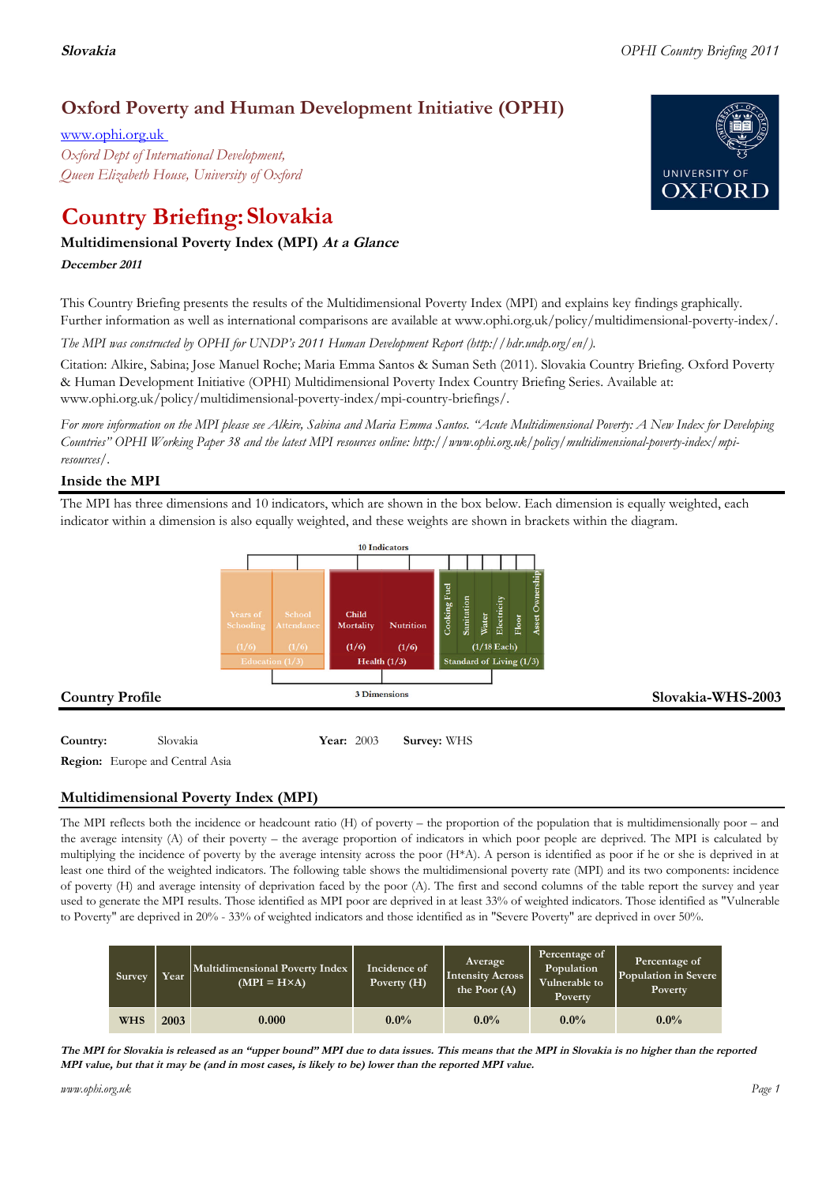## **Oxford Poverty and Human Development Initiative (OPHI)**

www.ophi.org.uk *Oxford Dept of International Development, Queen Elizabeth House, University of Oxford*

# **Country Briefing: Slovakia**

#### **Multidimensional Poverty Index (MPI) At <sup>a</sup> Glance**

**December <sup>2011</sup>**

This Country Briefing presents the results of the Multidimensional Poverty Index (MPI) and explains key findings graphically. Further information as well as international comparisons are available at www.ophi.org.uk/policy/multidimensional-poverty-index/.

*The MPI was constructed by OPHI for UNDP's 2011 Human Development Report (http://hdr.undp.org/en/).*

Citation: Alkire, Sabina; Jose Manuel Roche; Maria Emma Santos & Suman Seth (2011). Slovakia Country Briefing. Oxford Poverty & Human Development Initiative (OPHI) Multidimensional Poverty Index Country Briefing Series. Available at: www.ophi.org.uk/policy/multidimensional-poverty-index/mpi-country-briefings/.

*For more information on the MPI please see Alkire, Sabina and Maria Emma Santos. "Acute Multidimensional Poverty: A New Index for Developing Countries" OPHI Working Paper 38 and the latest MPI resources online: http://www.ophi.org.uk/policy/multidimensional-poverty-index/mpiresources/.*

#### **Inside the MPI**

The MPI has three dimensions and 10 indicators, which are shown in the box below. Each dimension is equally weighted, each indicator within a dimension is also equally weighted, and these weights are shown in brackets within the diagram.



**Country:** Slovakia **84 Year:** 2003 **Survey:** WHS

**Region:** Europe and Central Asia

### **Multidimensional Poverty Index (MPI)**

The MPI reflects both the incidence or headcount ratio (H) of poverty – the proportion of the population that is multidimensionally poor – and the average intensity (A) of their poverty – the average proportion of indicators in which poor people are deprived. The MPI is calculated by multiplying the incidence of poverty by the average intensity across the poor (H\*A). A person is identified as poor if he or she is deprived in at least one third of the weighted indicators. The following table shows the multidimensional poverty rate (MPI) and its two components: incidence of poverty (H) and average intensity of deprivation faced by the poor (A). The first and second columns of the table report the survey and year used to generate the MPI results. Those identified as MPI poor are deprived in at least 33% of weighted indicators. Those identified as "Vulnerable to Poverty" are deprived in 20% - 33% of weighted indicators and those identified as in "Severe Poverty" are deprived in over 50%.

| Survey     | Year | Multidimensional Poverty Index<br>$(MPI = H \times A)$ | Incidence of<br>Poverty (H) | Average<br><b>Intensity Across</b><br>the Poor $(A)$ | Percentage of<br>Population<br>Vulnerable to<br>Poverty | Percentage of<br>Population in Severe<br>Poverty |
|------------|------|--------------------------------------------------------|-----------------------------|------------------------------------------------------|---------------------------------------------------------|--------------------------------------------------|
| <b>WHS</b> | 2003 | 0.000                                                  | $0.0\%$                     | $0.0\%$                                              | $0.0\%$                                                 | $0.0\%$                                          |

The MPI for Slovakia is released as an "upper bound" MPI due to data issues. This means that the MPI in Slovakia is no higher than the reported MPI value, but that it may be (and in most cases, is likely to be) lower than the reported MPI value.